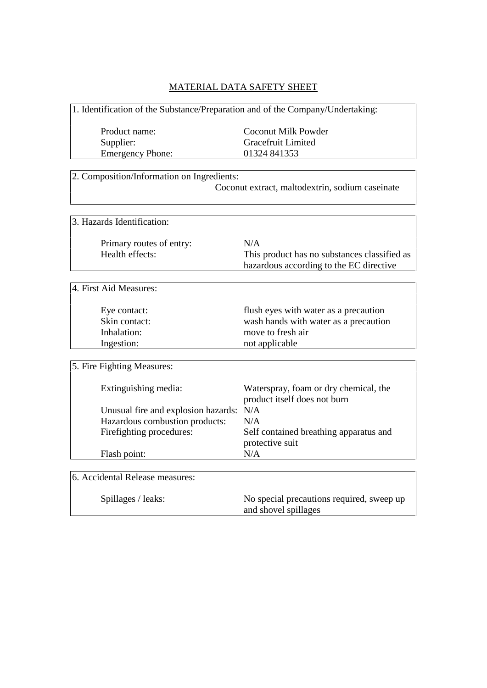## MATERIAL DATA SAFETY SHEET

1. Identification of the Substance/Preparation and of the Company/Undertaking:

Emergency Phone: 01324 841353

Product name: Coconut Milk Powder Supplier: Gracefruit Limited

| 2. Composition/Information on Ingredients:      |
|-------------------------------------------------|
| Coconut extract, maltodextrin, sodium caseinate |

## 3. Hazards Identification:

Primary routes of entry: N/A

Health effects: This product has no substances classified as hazardous according to the EC directive

4. First Aid Measures:

| Eye contact:  |
|---------------|
| Skin contact: |
| Inhalation:   |
| Ingestion:    |

flush eyes with water as a precaution wash hands with water as a precaution move to fresh air not applicable

5. Fire Fighting Measures:

| Extinguishing media:                    | Waterspray, foam or dry chemical, the<br>product itself does not burn |
|-----------------------------------------|-----------------------------------------------------------------------|
| Unusual fire and explosion hazards: N/A |                                                                       |
| Hazardous combustion products:          | N/A                                                                   |
| Firefighting procedures:                | Self contained breathing apparatus and<br>protective suit             |
| Flash point:                            | N/A                                                                   |

6. Accidental Release measures:

Spillages / leaks: No special precautions required, sweep up and shovel spillages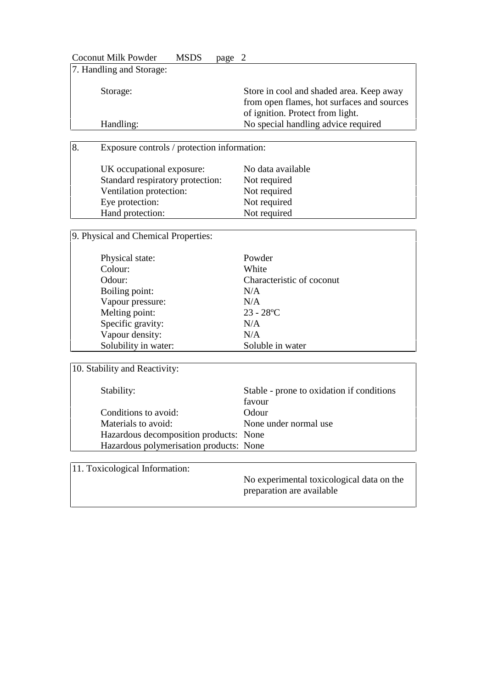Coconut Milk Powder MSDS page 2 7. Handling and Storage: Storage: Store in cool and shaded area. Keep away from open flames, hot surfaces and sources of ignition. Protect from light. Handling: No special handling advice required

8. Exposure controls / protection information:

| UK occupational exposure:        | No data available |
|----------------------------------|-------------------|
| Standard respiratory protection: | Not required      |
| Ventilation protection:          | Not required      |
| Eye protection:                  | Not required      |
| Hand protection:                 | Not required      |

9. Physical and Chemical Properties:

| Physical state:      | Powder                    |
|----------------------|---------------------------|
| Colour:              | White                     |
| Odour:               | Characteristic of coconut |
| Boiling point:       | N/A                       |
| Vapour pressure:     | N/A                       |
| Melting point:       | $23 - 28$ °C              |
| Specific gravity:    | N/A                       |
| Vapour density:      | N/A                       |
| Solubility in water: | Soluble in water          |

10. Stability and Reactivity:

| Stability:                              | Stable - prone to oxidation if conditions |
|-----------------------------------------|-------------------------------------------|
|                                         | favour                                    |
| Conditions to avoid:                    | Odour                                     |
| Materials to avoid:                     | None under normal use                     |
| Hazardous decomposition products: None  |                                           |
| Hazardous polymerisation products: None |                                           |

11. Toxicological Information:

No experimental toxicological data on the preparation are available